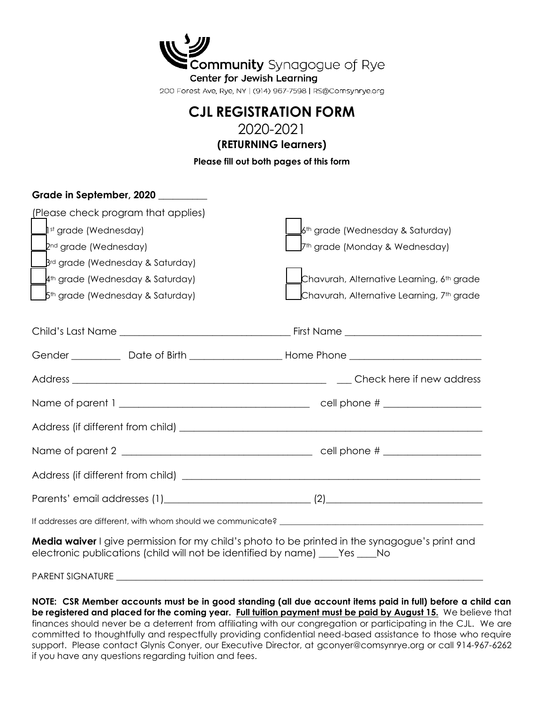| マング                                                         |
|-------------------------------------------------------------|
| Community Synagogue of Rye                                  |
| Center for Jewish Learning                                  |
| 200 Forest Ave, Rye, NY   (914) 967-7598   RS@Comsynrye.org |
|                                                             |

## **CJL REGISTRATION FORM**

2020-2021

**(RETURNING learners)**

**Please fill out both pages of this form**

| Grade in September, 2020                                                                                                                                                        |                                                       |  |  |  |
|---------------------------------------------------------------------------------------------------------------------------------------------------------------------------------|-------------------------------------------------------|--|--|--|
| (Please check program that applies)                                                                                                                                             |                                                       |  |  |  |
| $\mathbf{I}$ <sup>st</sup> grade (Wednesday)                                                                                                                                    | $\mathsf{I}$ 6th grade (Wednesday & Saturday)         |  |  |  |
| $2^{nd}$ grade (Wednesday)                                                                                                                                                      | J7th grade (Monday & Wednesday)                       |  |  |  |
| $Brd$ grade (Wednesday & Saturday)                                                                                                                                              |                                                       |  |  |  |
| $\mathbf{\mathcal{A}}^{\text{th}}$ grade (Wednesday & Saturday)                                                                                                                 | Chavurah, Alternative Learning, 6 <sup>th</sup> grade |  |  |  |
| $\Box$ 5 <sup>th</sup> grade (Wednesday & Saturday)                                                                                                                             | Chavurah, Alternative Learning, 7th grade             |  |  |  |
|                                                                                                                                                                                 |                                                       |  |  |  |
|                                                                                                                                                                                 |                                                       |  |  |  |
|                                                                                                                                                                                 |                                                       |  |  |  |
|                                                                                                                                                                                 |                                                       |  |  |  |
|                                                                                                                                                                                 |                                                       |  |  |  |
|                                                                                                                                                                                 |                                                       |  |  |  |
|                                                                                                                                                                                 |                                                       |  |  |  |
|                                                                                                                                                                                 |                                                       |  |  |  |
|                                                                                                                                                                                 |                                                       |  |  |  |
| Media waiver I give permission for my child's photo to be printed in the synagogue's print and<br>electronic publications (child will not be identified by name) ____Yes ____No |                                                       |  |  |  |
|                                                                                                                                                                                 |                                                       |  |  |  |

**NOTE: CSR Member accounts must be in good standing (all due account items paid in full) before a child can be registered and placed for the coming year. Full tuition payment must be paid by August 15.** We believe that finances should never be a deterrent from affiliating with our congregation or participating in the CJL. We are committed to thoughtfully and respectfully providing confidential need-based assistance to those who require support. Please contact Glynis Conyer, our Executive Director, at gconyer@comsynrye.org or call 914-967-6262 if you have any questions regarding tuition and fees.